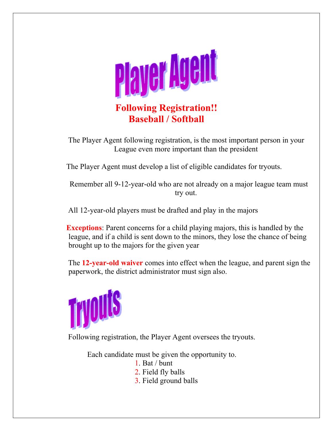

 The Player Agent following registration, is the most important person in your League even more important than the president

The Player Agent must develop a list of eligible candidates for tryouts.

 Remember all 9-12-year-old who are not already on a major league team must try out.

All 12-year-old players must be drafted and play in the majors

 **Exceptions**: Parent concerns for a child playing majors, this is handled by the league, and if a child is sent down to the minors, they lose the chance of being brought up to the majors for the given year

 The **12-year-old waiver** comes into effect when the league, and parent sign the paperwork, the district administrator must sign also.



Following registration, the Player Agent oversees the tryouts.

Each candidate must be given the opportunity to.

- 1. Bat / bunt
- 2. Field fly balls
- 3. Field ground balls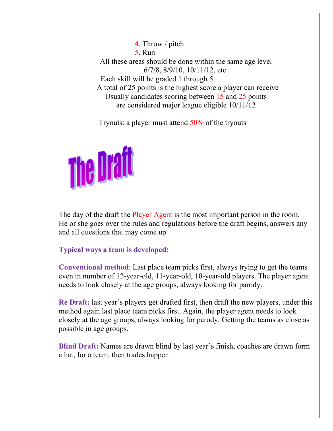4. Throw / pitch 5. Run All these areas should be done within the same age level 6/7/8, 8/9/10, 10/11/12, etc. Each skill will be graded 1 through 5 A total of 25 points is the highest score a player can receive Usually candidates scoring between 15 and 25 points are considered major league eligible 10/11/12

Tryouts: a player must attend 50% of the tryouts



The day of the draft the Player Agent is the most important person in the room. He or she goes over the rules and regulations before the draft begins, answers any and all questions that may come up.

## **Typical ways a team is developed:**

**Conventional method**: Last place team picks first, always trying to get the teams even in number of 12-year-old, 11-year-old, 10-year-old players. The player agent needs to look closely at the age groups, always looking for parody.

**Re Draft:** last year's players get drafted first, then draft the new players, under this method again last place team picks first. Again, the player agent needs to look closely at the age groups, always looking for parody. Getting the teams as close as possible in age groups.

**Blind Draft:** Names are drawn blind by last year's finish, coaches are drawn form a hat, for a team, then trades happen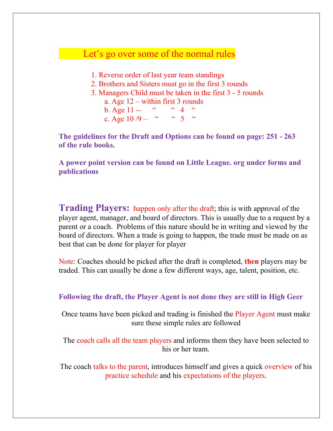## Let's go over some of the normal rules

- 1. Reverse order of last year team standings
- 2. Brothers and Sisters must go in the first 3 rounds
- 3. Managers Child must be taken in the first 3 5 rounds a. Age 12 – within first 3 rounds

b. Age  $11 -$  " " 4 c. Age  $10/9 -$  " "  $5 -$ "

**The guidelines for the Draft and Options can be found on page: 251 - 263 of the rule books.** 

**A power point version can be found on Little League. org under forms and publications** 

**Trading Players:** happen only after the draft; this is with approval of the player agent, manager, and board of directors. This is usually due to a request by a parent or a coach. Problems of this nature should be in writing and viewed by the board of directors. When a trade is going to happen, the trade must be made on as best that can be done for player for player

Note: Coaches should be picked after the draft is completed, **then** players may be traded. This can usually be done a few different ways, age, talent, position, etc.

**Following the draft, the Player Agent is not done they are still in High Geer** 

Once teams have been picked and trading is finished the Player Agent must make sure these simple rules are followed

The coach calls all the team players and informs them they have been selected to his or her team.

The coach talks to the parent, introduces himself and gives a quick overview of his practice schedule and his expectations of the players.